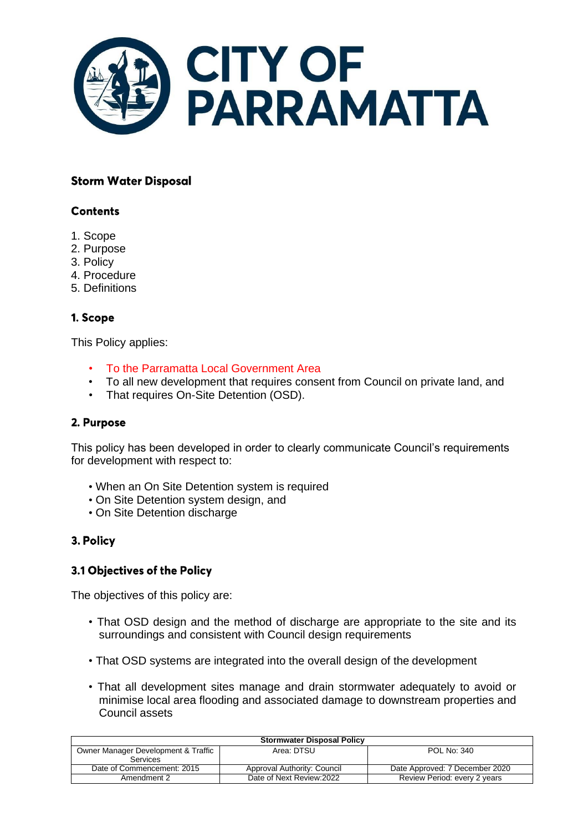

# **Storm Water Disposal**

# **Contents**

- 1. Scope
- 2. Purpose
- 3. Policy
- 4. Procedure
- 5. Definitions

### 1. Scope

This Policy applies:

- To the Parramatta Local Government Area
- To all new development that requires consent from Council on private land, and
- That requires On-Site Detention (OSD).

### 2. Purpose

This policy has been developed in order to clearly communicate Council's requirements for development with respect to:

- When an On Site Detention system is required
- On Site Detention system design, and
- On Site Detention discharge

### 3. Policy

### 3.1 Objectives of the Policy

The objectives of this policy are:

- That OSD design and the method of discharge are appropriate to the site and its surroundings and consistent with Council design requirements
- That OSD systems are integrated into the overall design of the development
- That all development sites manage and drain stormwater adequately to avoid or minimise local area flooding and associated damage to downstream properties and Council assets

| <b>Stormwater Disposal Policy</b>                      |                             |                                |
|--------------------------------------------------------|-----------------------------|--------------------------------|
| Owner Manager Development & Traffic<br><b>Services</b> | Area: DTSU                  | <b>POL No: 340</b>             |
| Date of Commencement: 2015                             | Approval Authority: Council | Date Approved: 7 December 2020 |
| Amendment 2                                            | Date of Next Review: 2022   | Review Period: every 2 years   |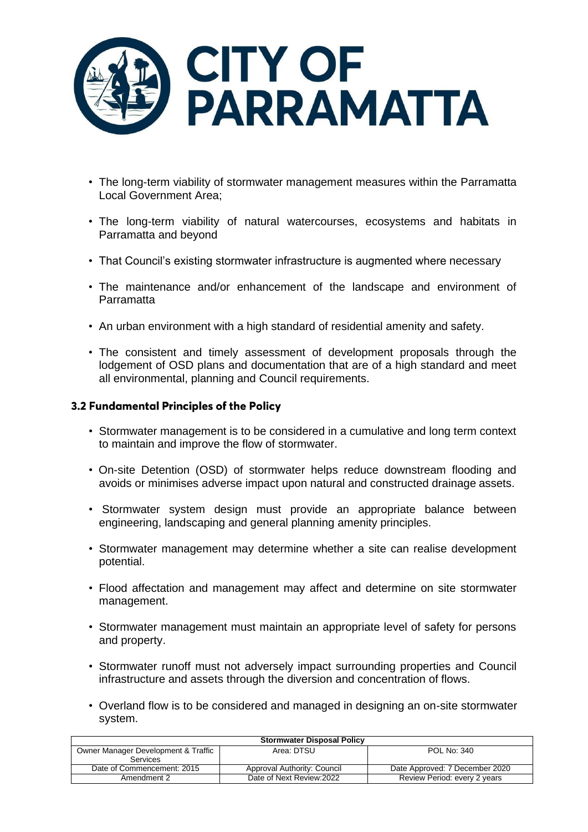

- The long-term viability of stormwater management measures within the Parramatta Local Government Area;
- The long-term viability of natural watercourses, ecosystems and habitats in Parramatta and beyond
- That Council's existing stormwater infrastructure is augmented where necessary
- The maintenance and/or enhancement of the landscape and environment of Parramatta
- An urban environment with a high standard of residential amenity and safety.
- The consistent and timely assessment of development proposals through the lodgement of OSD plans and documentation that are of a high standard and meet all environmental, planning and Council requirements.

#### 3.2 Fundamental Principles of the Policy

- Stormwater management is to be considered in a cumulative and long term context to maintain and improve the flow of stormwater.
- On-site Detention (OSD) of stormwater helps reduce downstream flooding and avoids or minimises adverse impact upon natural and constructed drainage assets.
- Stormwater system design must provide an appropriate balance between engineering, landscaping and general planning amenity principles.
- Stormwater management may determine whether a site can realise development potential.
- Flood affectation and management may affect and determine on site stormwater management.
- Stormwater management must maintain an appropriate level of safety for persons and property.
- Stormwater runoff must not adversely impact surrounding properties and Council infrastructure and assets through the diversion and concentration of flows.
- Overland flow is to be considered and managed in designing an on-site stormwater system.

| <b>Stormwater Disposal Policy</b>   |                             |                                |
|-------------------------------------|-----------------------------|--------------------------------|
| Owner Manager Development & Traffic | Area: DTSU                  | POL No: 340                    |
| <b>Services</b>                     |                             |                                |
| Date of Commencement: 2015          | Approval Authority: Council | Date Approved: 7 December 2020 |
| Amendment 2                         | Date of Next Review: 2022   | Review Period: every 2 years   |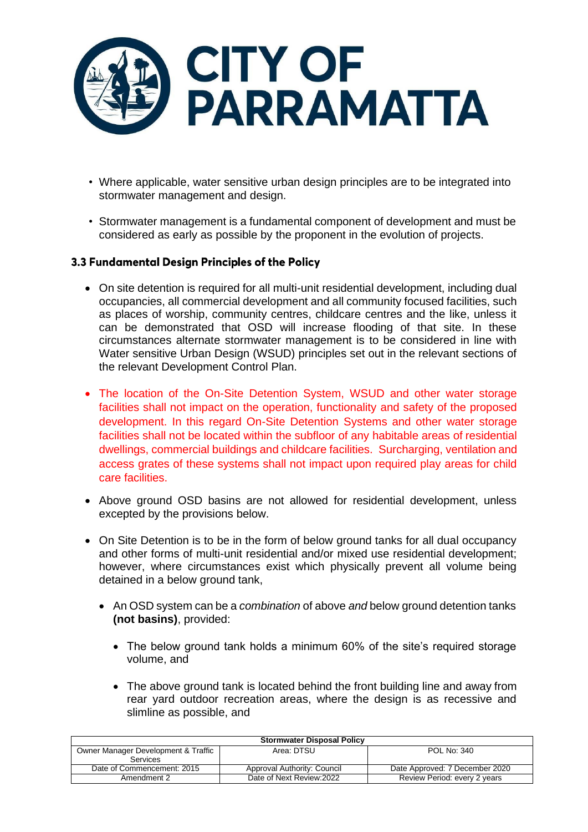

- Where applicable, water sensitive urban design principles are to be integrated into stormwater management and design.
- Stormwater management is a fundamental component of development and must be considered as early as possible by the proponent in the evolution of projects.

# 3.3 Fundamental Design Principles of the Policy

- On site detention is required for all multi-unit residential development, including dual occupancies, all commercial development and all community focused facilities, such as places of worship, community centres, childcare centres and the like, unless it can be demonstrated that OSD will increase flooding of that site. In these circumstances alternate stormwater management is to be considered in line with Water sensitive Urban Design (WSUD) principles set out in the relevant sections of the relevant Development Control Plan.
- The location of the On-Site Detention System, WSUD and other water storage facilities shall not impact on the operation, functionality and safety of the proposed development. In this regard On-Site Detention Systems and other water storage facilities shall not be located within the subfloor of any habitable areas of residential dwellings, commercial buildings and childcare facilities. Surcharging, ventilation and access grates of these systems shall not impact upon required play areas for child care facilities.
- Above ground OSD basins are not allowed for residential development, unless excepted by the provisions below.
- On Site Detention is to be in the form of below ground tanks for all dual occupancy and other forms of multi-unit residential and/or mixed use residential development; however, where circumstances exist which physically prevent all volume being detained in a below ground tank,
	- An OSD system can be a *combination* of above *and* below ground detention tanks **(not basins)**, provided:
		- The below ground tank holds a minimum 60% of the site's required storage volume, and
		- The above ground tank is located behind the front building line and away from rear yard outdoor recreation areas, where the design is as recessive and slimline as possible, and

| <b>Stormwater Disposal Policy</b>                      |                             |                                |
|--------------------------------------------------------|-----------------------------|--------------------------------|
| Owner Manager Development & Traffic<br><b>Services</b> | Area: DTSU                  | POL No: 340                    |
| Date of Commencement: 2015                             | Approval Authority: Council | Date Approved: 7 December 2020 |
| Amendment 2                                            | Date of Next Review: 2022   | Review Period: every 2 years   |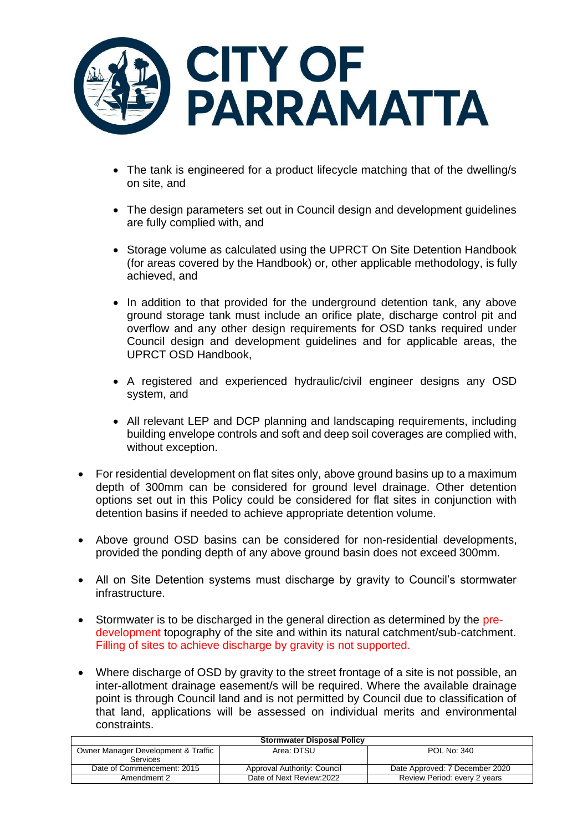

- The tank is engineered for a product lifecycle matching that of the dwelling/s on site, and
- The design parameters set out in Council design and development guidelines are fully complied with, and
- Storage volume as calculated using the UPRCT On Site Detention Handbook (for areas covered by the Handbook) or, other applicable methodology, is fully achieved, and
- In addition to that provided for the underground detention tank, any above ground storage tank must include an orifice plate, discharge control pit and overflow and any other design requirements for OSD tanks required under Council design and development guidelines and for applicable areas, the UPRCT OSD Handbook,
- A registered and experienced hydraulic/civil engineer designs any OSD system, and
- All relevant LEP and DCP planning and landscaping requirements, including building envelope controls and soft and deep soil coverages are complied with, without exception.
- For residential development on flat sites only, above ground basins up to a maximum depth of 300mm can be considered for ground level drainage. Other detention options set out in this Policy could be considered for flat sites in conjunction with detention basins if needed to achieve appropriate detention volume.
- Above ground OSD basins can be considered for non-residential developments, provided the ponding depth of any above ground basin does not exceed 300mm.
- All on Site Detention systems must discharge by gravity to Council's stormwater infrastructure.
- Stormwater is to be discharged in the general direction as determined by the predevelopment topography of the site and within its natural catchment/sub-catchment. Filling of sites to achieve discharge by gravity is not supported.
- Where discharge of OSD by gravity to the street frontage of a site is not possible, an inter-allotment drainage easement/s will be required. Where the available drainage point is through Council land and is not permitted by Council due to classification of that land, applications will be assessed on individual merits and environmental constraints.

| <b>Stormwater Disposal Policy</b>   |                             |                                |
|-------------------------------------|-----------------------------|--------------------------------|
| Owner Manager Development & Traffic | Area: DTSU                  | POL No: 340                    |
| Services                            |                             |                                |
| Date of Commencement: 2015          | Approval Authority: Council | Date Approved: 7 December 2020 |
| Amendment 2                         | Date of Next Review: 2022   | Review Period: every 2 years   |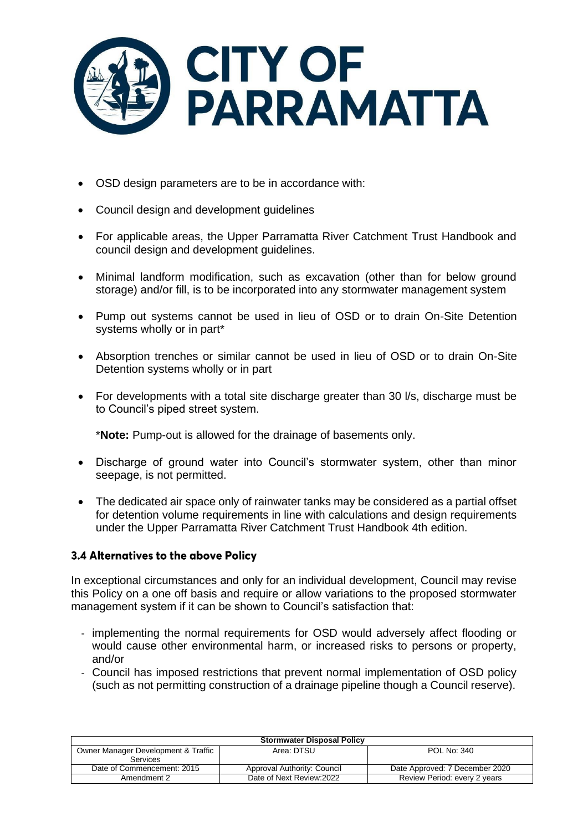

- OSD design parameters are to be in accordance with:
- Council design and development guidelines
- For applicable areas, the Upper Parramatta River Catchment Trust Handbook and council design and development guidelines.
- Minimal landform modification, such as excavation (other than for below ground storage) and/or fill, is to be incorporated into any stormwater management system
- Pump out systems cannot be used in lieu of OSD or to drain On-Site Detention systems wholly or in part\*
- Absorption trenches or similar cannot be used in lieu of OSD or to drain On-Site Detention systems wholly or in part
- For developments with a total site discharge greater than 30 l/s, discharge must be to Council's piped street system.

\***Note:** Pump-out is allowed for the drainage of basements only.

- Discharge of ground water into Council's stormwater system, other than minor seepage, is not permitted.
- The dedicated air space only of rainwater tanks may be considered as a partial offset for detention volume requirements in line with calculations and design requirements under the Upper Parramatta River Catchment Trust Handbook 4th edition.

### 3.4 Alternatives to the above Policy

In exceptional circumstances and only for an individual development, Council may revise this Policy on a one off basis and require or allow variations to the proposed stormwater management system if it can be shown to Council's satisfaction that:

- implementing the normal requirements for OSD would adversely affect flooding or would cause other environmental harm, or increased risks to persons or property, and/or
- Council has imposed restrictions that prevent normal implementation of OSD policy (such as not permitting construction of a drainage pipeline though a Council reserve).

| <b>Stormwater Disposal Policy</b>                      |                             |                                |
|--------------------------------------------------------|-----------------------------|--------------------------------|
| Owner Manager Development & Traffic<br><b>Services</b> | Area: DTSU                  | POL No: 340                    |
| Date of Commencement: 2015                             | Approval Authority: Council | Date Approved: 7 December 2020 |
| Amendment 2                                            | Date of Next Review: 2022   | Review Period: every 2 years   |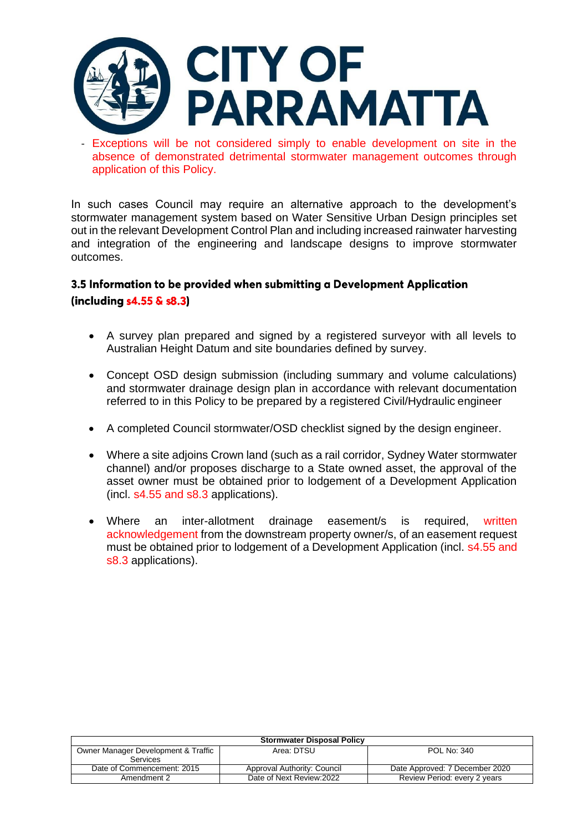

Exceptions will be not considered simply to enable development on site in the absence of demonstrated detrimental stormwater management outcomes through application of this Policy.

In such cases Council may require an alternative approach to the development's stormwater management system based on Water Sensitive Urban Design principles set out in the relevant Development Control Plan and including increased rainwater harvesting and integration of the engineering and landscape designs to improve stormwater outcomes.

# 3.5 Information to be provided when submitting a Development Application (including  $s4.55 \& s8.3$ )

- A survey plan prepared and signed by a registered surveyor with all levels to Australian Height Datum and site boundaries defined by survey.
- Concept OSD design submission (including summary and volume calculations) and stormwater drainage design plan in accordance with relevant documentation referred to in this Policy to be prepared by a registered Civil/Hydraulic engineer
- A completed Council stormwater/OSD checklist signed by the design engineer.
- Where a site adjoins Crown land (such as a rail corridor, Sydney Water stormwater channel) and/or proposes discharge to a State owned asset, the approval of the asset owner must be obtained prior to lodgement of a Development Application (incl. s4.55 and s8.3 applications).
- Where an inter-allotment drainage easement/s is required, written acknowledgement from the downstream property owner/s, of an easement request must be obtained prior to lodgement of a Development Application (incl. s4.55 and s8.3 applications).

| <b>Stormwater Disposal Policy</b>   |                             |                                |
|-------------------------------------|-----------------------------|--------------------------------|
| Owner Manager Development & Traffic | Area: DTSU                  | <b>POL No: 340</b>             |
| <b>Services</b>                     |                             |                                |
| Date of Commencement: 2015          | Approval Authority: Council | Date Approved: 7 December 2020 |
| Amendment 2                         | Date of Next Review: 2022   | Review Period: every 2 years   |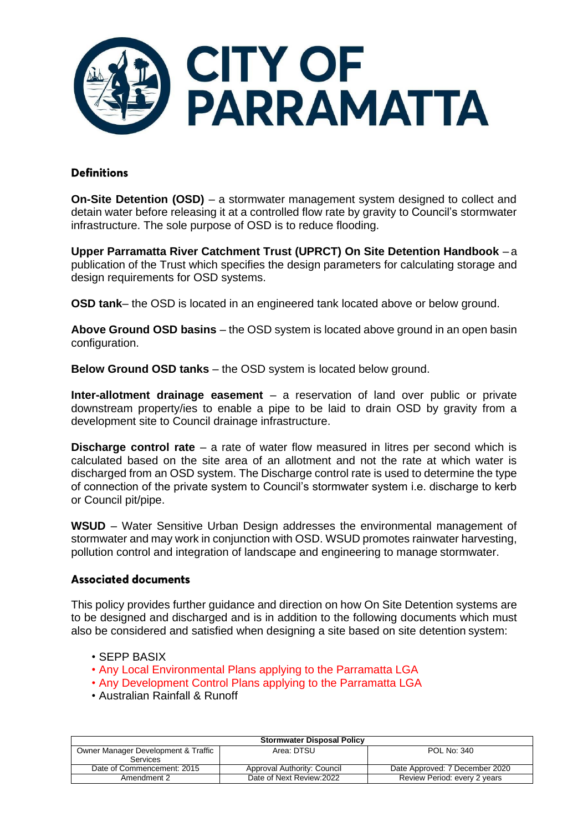

### **Definitions**

**On-Site Detention (OSD)** – a stormwater management system designed to collect and detain water before releasing it at a controlled flow rate by gravity to Council's stormwater infrastructure. The sole purpose of OSD is to reduce flooding.

**Upper Parramatta River Catchment Trust (UPRCT) On Site Detention Handbook** – a publication of the Trust which specifies the design parameters for calculating storage and design requirements for OSD systems.

**OSD tank**– the OSD is located in an engineered tank located above or below ground.

**Above Ground OSD basins** – the OSD system is located above ground in an open basin configuration.

**Below Ground OSD tanks** – the OSD system is located below ground.

**Inter-allotment drainage easement** – a reservation of land over public or private downstream property/ies to enable a pipe to be laid to drain OSD by gravity from a development site to Council drainage infrastructure.

**Discharge control rate** – a rate of water flow measured in litres per second which is calculated based on the site area of an allotment and not the rate at which water is discharged from an OSD system. The Discharge control rate is used to determine the type of connection of the private system to Council's stormwater system i.e. discharge to kerb or Council pit/pipe.

**WSUD** – Water Sensitive Urban Design addresses the environmental management of stormwater and may work in conjunction with OSD. WSUD promotes rainwater harvesting, pollution control and integration of landscape and engineering to manage stormwater.

### **Associated documents**

This policy provides further guidance and direction on how On Site Detention systems are to be designed and discharged and is in addition to the following documents which must also be considered and satisfied when designing a site based on site detention system:

- SEPP BASIX
- Any Local Environmental Plans applying to the Parramatta LGA
- Any Development Control Plans applying to the Parramatta LGA
- Australian Rainfall & Runoff

| <b>Stormwater Disposal Policy</b>               |                             |                                |
|-------------------------------------------------|-----------------------------|--------------------------------|
| Owner Manager Development & Traffic<br>Services | Area: DTSU                  | POL No: 340                    |
| Date of Commencement: 2015                      | Approval Authority: Council | Date Approved: 7 December 2020 |
| Amendment 2                                     | Date of Next Review:2022    | Review Period: every 2 years   |